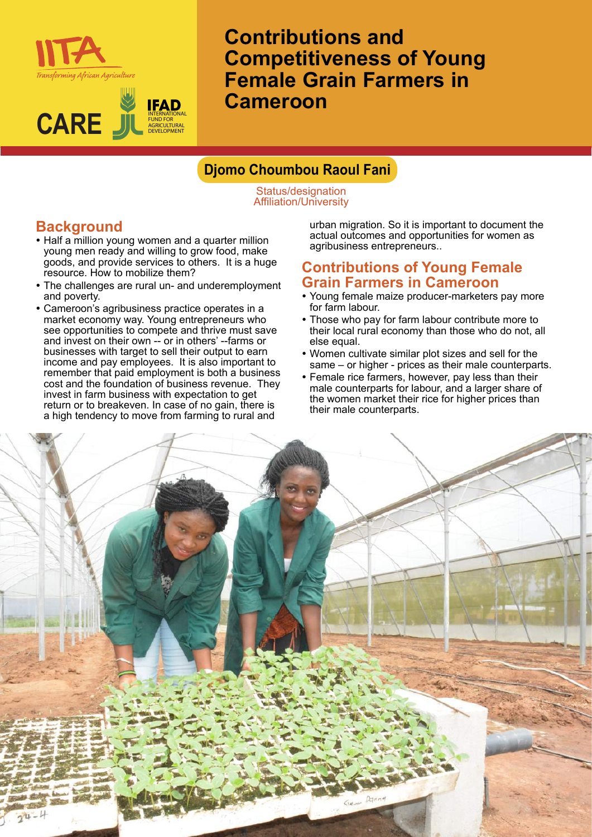



**Contributions and Competitiveness of Young Female Grain Farmers in Cameroon**

### **Djomo Choumbou Raoul Fani**

Status/designation Affiliation/University

# **Background**

- Half a million young women and a quarter million young men ready and willing to grow food, make goods, and provide services to others. It is a huge resource. How to mobilize them?
- The challenges are rural un- and underemployment and poverty.
- Cameroon's agribusiness practice operates in a market economy way. Young entrepreneurs who see opportunities to compete and thrive must save and invest on their own -- or in others' --farms or businesses with target to sell their output to earn income and pay employees. It is also important to remember that paid employment is both a business cost and the foundation of business revenue. They invest in farm business with expectation to get return or to breakeven. In case of no gain, there is a high tendency to move from farming to rural and

urban migration. So it is important to document the actual outcomes and opportunities for women as agribusiness entrepreneurs..

#### **Contributions of Young Female Grain Farmers in Cameroon**

- Young female maize producer-marketers pay more for farm labour.
- Those who pay for farm labour contribute more to their local rural economy than those who do not, all else equal.
- Women cultivate similar plot sizes and sell for the same – or higher - prices as their male counterparts.
- Female rice farmers, however, pay less than their male counterparts for labour, and a larger share of the women market their rice for higher prices than their male counterparts.